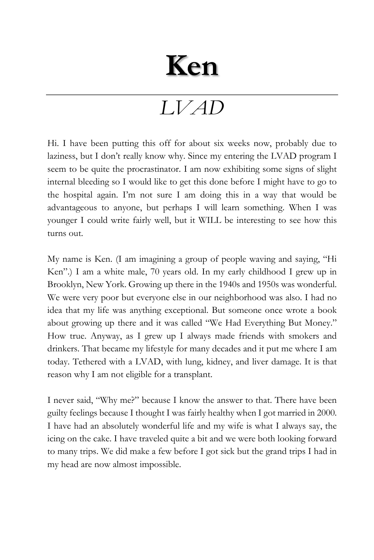## **Ken**

## *LVAD*

Hi. I have been putting this off for about six weeks now, probably due to laziness, but I don't really know why. Since my entering the LVAD program I seem to be quite the procrastinator. I am now exhibiting some signs of slight internal bleeding so I would like to get this done before I might have to go to the hospital again. I'm not sure I am doing this in a way that would be advantageous to anyone, but perhaps I will learn something. When I was younger I could write fairly well, but it WILL be interesting to see how this turns out.

My name is Ken. (I am imagining a group of people waving and saying, "Hi Ken".) I am a white male, 70 years old. In my early childhood I grew up in Brooklyn, New York. Growing up there in the 1940s and 1950s was wonderful. We were very poor but everyone else in our neighborhood was also. I had no idea that my life was anything exceptional. But someone once wrote a book about growing up there and it was called "We Had Everything But Money." How true. Anyway, as I grew up I always made friends with smokers and drinkers. That became my lifestyle for many decades and it put me where I am today. Tethered with a LVAD, with lung, kidney, and liver damage. It is that reason why I am not eligible for a transplant.

I never said, "Why me?" because I know the answer to that. There have been guilty feelings because I thought I was fairly healthy when I got married in 2000. I have had an absolutely wonderful life and my wife is what I always say, the icing on the cake. I have traveled quite a bit and we were both looking forward to many trips. We did make a few before I got sick but the grand trips I had in my head are now almost impossible.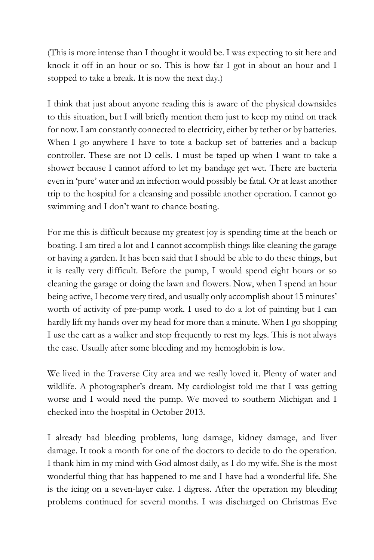(This is more intense than I thought it would be. I was expecting to sit here and knock it off in an hour or so. This is how far I got in about an hour and I stopped to take a break. It is now the next day.)

I think that just about anyone reading this is aware of the physical downsides to this situation, but I will briefly mention them just to keep my mind on track for now. I am constantly connected to electricity, either by tether or by batteries. When I go anywhere I have to tote a backup set of batteries and a backup controller. These are not D cells. I must be taped up when I want to take a shower because I cannot afford to let my bandage get wet. There are bacteria even in 'pure' water and an infection would possibly be fatal. Or at least another trip to the hospital for a cleansing and possible another operation. I cannot go swimming and I don't want to chance boating.

For me this is difficult because my greatest joy is spending time at the beach or boating. I am tired a lot and I cannot accomplish things like cleaning the garage or having a garden. It has been said that I should be able to do these things, but it is really very difficult. Before the pump, I would spend eight hours or so cleaning the garage or doing the lawn and flowers. Now, when I spend an hour being active, I become very tired, and usually only accomplish about 15 minutes' worth of activity of pre-pump work. I used to do a lot of painting but I can hardly lift my hands over my head for more than a minute. When I go shopping I use the cart as a walker and stop frequently to rest my legs. This is not always the case. Usually after some bleeding and my hemoglobin is low.

We lived in the Traverse City area and we really loved it. Plenty of water and wildlife. A photographer's dream. My cardiologist told me that I was getting worse and I would need the pump. We moved to southern Michigan and I checked into the hospital in October 2013.

I already had bleeding problems, lung damage, kidney damage, and liver damage. It took a month for one of the doctors to decide to do the operation. I thank him in my mind with God almost daily, as I do my wife. She is the most wonderful thing that has happened to me and I have had a wonderful life. She is the icing on a seven-layer cake. I digress. After the operation my bleeding problems continued for several months. I was discharged on Christmas Eve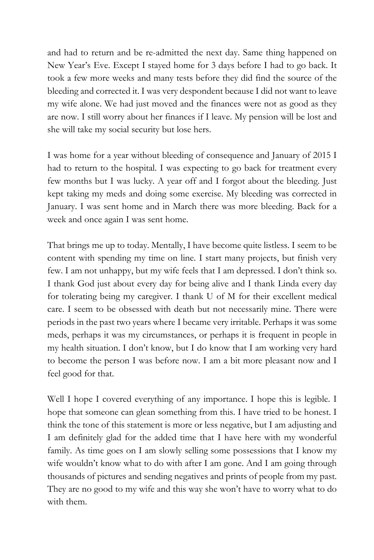and had to return and be re-admitted the next day. Same thing happened on New Year's Eve. Except I stayed home for 3 days before I had to go back. It took a few more weeks and many tests before they did find the source of the bleeding and corrected it. I was very despondent because I did not want to leave my wife alone. We had just moved and the finances were not as good as they are now. I still worry about her finances if I leave. My pension will be lost and she will take my social security but lose hers.

I was home for a year without bleeding of consequence and January of 2015 I had to return to the hospital. I was expecting to go back for treatment every few months but I was lucky. A year off and I forgot about the bleeding. Just kept taking my meds and doing some exercise. My bleeding was corrected in January. I was sent home and in March there was more bleeding. Back for a week and once again I was sent home.

That brings me up to today. Mentally, I have become quite listless. I seem to be content with spending my time on line. I start many projects, but finish very few. I am not unhappy, but my wife feels that I am depressed. I don't think so. I thank God just about every day for being alive and I thank Linda every day for tolerating being my caregiver. I thank U of M for their excellent medical care. I seem to be obsessed with death but not necessarily mine. There were periods in the past two years where I became very irritable. Perhaps it was some meds, perhaps it was my circumstances, or perhaps it is frequent in people in my health situation. I don't know, but I do know that I am working very hard to become the person I was before now. I am a bit more pleasant now and I feel good for that.

Well I hope I covered everything of any importance. I hope this is legible. I hope that someone can glean something from this. I have tried to be honest. I think the tone of this statement is more or less negative, but I am adjusting and I am definitely glad for the added time that I have here with my wonderful family. As time goes on I am slowly selling some possessions that I know my wife wouldn't know what to do with after I am gone. And I am going through thousands of pictures and sending negatives and prints of people from my past. They are no good to my wife and this way she won't have to worry what to do with them.